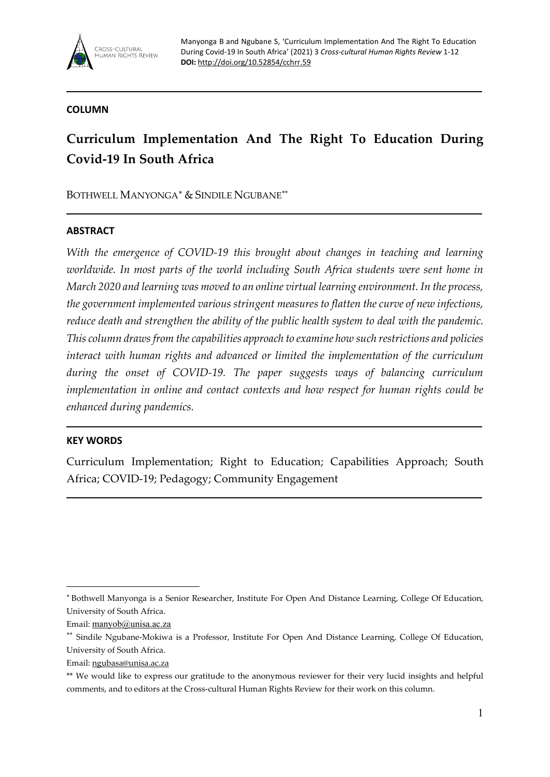

## **COLUMN**

# **Curriculum Implementation And The Right To Education During Covid-19 In South Africa**

BOTHWELL MANYONGA[∗](#page-0-0) & SINDILE NGUBANE**[\\*\\*](#page-0-1)**

## **ABSTRACT**

*With the emergence of COVID-19 this brought about changes in teaching and learning worldwide. In most parts of the world including South Africa students were sent home in March 2020 and learning was moved to an online virtual learning environment. In the process, the government implemented various stringent measures to flatten the curve of new infections, reduce death and strengthen the ability of the public health system to deal with the pandemic. This column draws from the capabilities approach to examine how such restrictions and policies interact with human rights and advanced or limited the implementation of the curriculum during the onset of COVID-19. The paper suggests ways of balancing curriculum implementation in online and contact contexts and how respect for human rights could be enhanced during pandemics.*

## **KEY WORDS**

Curriculum Implementation; Right to Education; Capabilities Approach; South Africa; COVID-19; Pedagogy; Community Engagement

<span id="page-0-0"></span><sup>∗</sup> Bothwell Manyonga is a Senior Researcher, Institute For Open And Distance Learning, College Of Education, University of South Africa.

Email: [manyob@unisa.ac.za](mailto:manyob@unisa.ac.za)

<span id="page-0-1"></span><sup>\*\*</sup> Sindile Ngubane-Mokiwa is a Professor, Institute For Open And Distance Learning, College Of Education, University of South Africa.

Email[: ngubasa@unisa.ac.za](mailto:ngubasa@unisa.ac.za) 

<sup>\*\*</sup> We would like to express our gratitude to the anonymous reviewer for their very lucid insights and helpful comments, and to editors at the Cross-cultural Human Rights Review for their work on this column.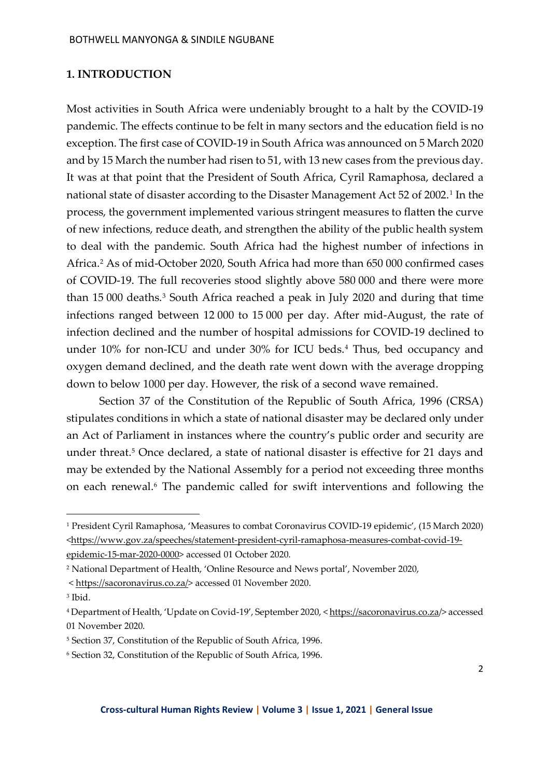#### **1. INTRODUCTION**

Most activities in South Africa were undeniably brought to a halt by the COVID-19 pandemic. The effects continue to be felt in many sectors and the education field is no exception. The first case of COVID-19 in South Africa was announced on 5 March 2020 and by 15 March the number had risen to 51, with 13 new cases from the previous day. It was at that point that the President of South Africa, Cyril Ramaphosa, declared a national state of disaster according to the Disaster Management Act 52 of 2002.<sup>[1](#page-1-0)</sup> In the process, the government implemented various stringent measures to flatten the curve of new infections, reduce death, and strengthen the ability of the public health system to deal with the pandemic. South Africa had the highest number of infections in Africa.[2](#page-1-1) As of mid-October 2020, South Africa had more than 650 000 confirmed cases of COVID-19. The full recoveries stood slightly above 580 000 and there were more than 15 000 deaths.<sup>[3](#page-1-2)</sup> South Africa reached a peak in July 2020 and during that time infections ranged between 12 000 to 15 000 per day. After mid-August, the rate of infection declined and the number of hospital admissions for COVID-19 declined to under 10% for non-ICU and under 30% for ICU beds.<sup>[4](#page-1-3)</sup> Thus, bed occupancy and oxygen demand declined, and the death rate went down with the average dropping down to below 1000 per day. However, the risk of a second wave remained.

Section 37 of the Constitution of the Republic of South Africa, 1996 (CRSA) stipulates conditions in which a state of national disaster may be declared only under an Act of Parliament in instances where the country's public order and security are under threat.<sup>[5](#page-1-4)</sup> Once declared, a state of national disaster is effective for 21 days and may be extended by the National Assembly for a period not exceeding three months on each renewal.[6](#page-1-5) The pandemic called for swift interventions and following the

<span id="page-1-0"></span><sup>1</sup> President Cyril Ramaphosa, 'Measures to combat Coronavirus COVID-19 epidemic', (15 March 2020) [<https://www.gov.za/speeches/statement-president-cyril-ramaphosa-measures-combat-covid-19](https://www.gov.za/speeches/statement-president-cyril-ramaphosa-measures-combat-covid-19-epidemic-15-mar-2020-0000) [epidemic-15-mar-2020-0000>](https://www.gov.za/speeches/statement-president-cyril-ramaphosa-measures-combat-covid-19-epidemic-15-mar-2020-0000) accessed 01 October 2020.

<span id="page-1-1"></span><sup>2</sup> National Department of Health, 'Online Resource and News portal', November 2020,

<sup>&</sup>lt; [https://sacoronavirus.co.za/>](https://sacoronavirus.co.za/) accessed 01 November 2020.

<span id="page-1-2"></span><sup>3</sup> Ibid.

<span id="page-1-3"></span><sup>4</sup> Department of Health, 'Update on Covid-19', September 2020, < https://sacoronavirus.co.za/> accessed 01 November 2020.

<span id="page-1-4"></span><sup>5</sup> Section 37, Constitution of the Republic of South Africa, 1996.

<span id="page-1-5"></span><sup>6</sup> Section 32, Constitution of the Republic of South Africa, 1996.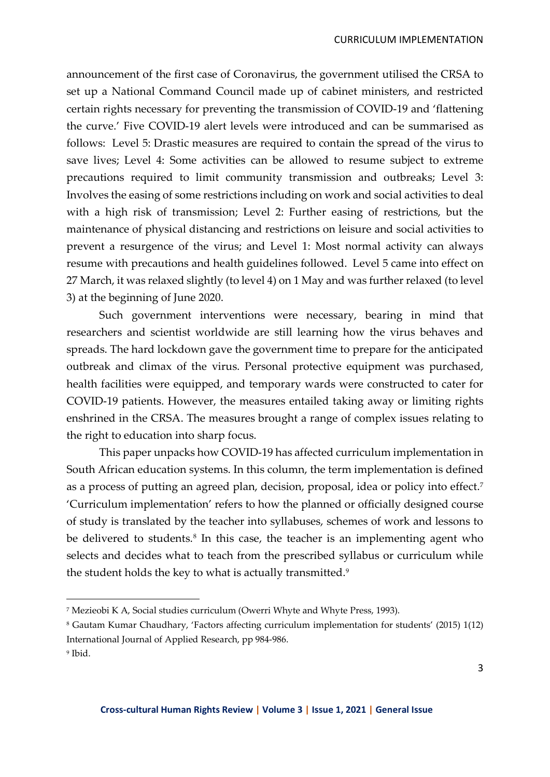announcement of the first case of Coronavirus, the government utilised the CRSA to set up a National Command Council made up of cabinet ministers, and restricted certain rights necessary for preventing the transmission of COVID-19 and 'flattening the curve.' Five COVID-19 alert levels were introduced and can be summarised as follows: Level 5: Drastic measures are required to contain the spread of the virus to save lives; Level 4: Some activities can be allowed to resume subject to extreme precautions required to limit community transmission and outbreaks; Level 3: Involves the easing of some restrictions including on work and social activities to deal with a high risk of transmission; Level 2: Further easing of restrictions, but the maintenance of physical distancing and restrictions on leisure and social activities to prevent a resurgence of the virus; and Level 1: Most normal activity can always resume with precautions and health guidelines followed. Level 5 came into effect on 27 March, it was relaxed slightly (to level 4) on 1 May and was further relaxed (to level 3) at the beginning of June 2020.

Such government interventions were necessary, bearing in mind that researchers and scientist worldwide are still learning how the virus behaves and spreads. The hard lockdown gave the government time to prepare for the anticipated outbreak and climax of the virus. Personal protective equipment was purchased, health facilities were equipped, and temporary wards were constructed to cater for COVID-19 patients. However, the measures entailed taking away or limiting rights enshrined in the CRSA. The measures brought a range of complex issues relating to the right to education into sharp focus.

This paper unpacks how COVID-19 has affected curriculum implementation in South African education systems. In this column, the term implementation is defined as a process of putting an agreed plan, decision, proposal, idea or policy into effect.[7](#page-2-0) 'Curriculum implementation' refers to how the planned or officially designed course of study is translated by the teacher into syllabuses, schemes of work and lessons to be delivered to students. [8](#page-2-1) In this case, the teacher is an implementing agent who selects and decides what to teach from the prescribed syllabus or curriculum while the student holds the key to what is actually transmitted.<sup>9</sup>

<span id="page-2-0"></span><sup>7</sup> Mezieobi K A, Social studies curriculum (Owerri Whyte and Whyte Press, 1993).

<span id="page-2-1"></span><sup>8</sup> Gautam Kumar Chaudhary, 'Factors affecting curriculum implementation for students' (2015) 1(12) International Journal of Applied Research, pp 984-986.

<span id="page-2-2"></span><sup>9</sup> Ibid.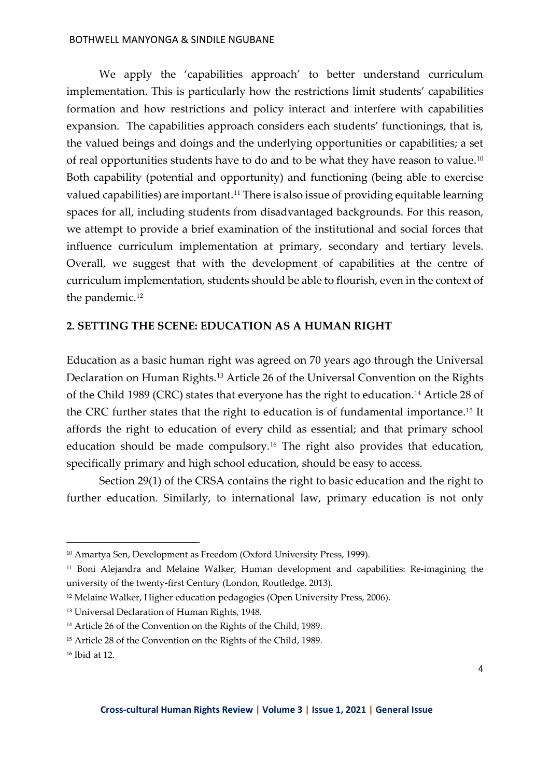We apply the 'capabilities approach' to better understand curriculum implementation. This is particularly how the restrictions limit students' capabilities formation and how restrictions and policy interact and interfere with capabilities expansion. The capabilities approach considers each students' functionings, that is, the valued beings and doings and the underlying opportunities or capabilities; a set of real opportunities students have to do and to be what they have reason to value.[10](#page-3-0) Both capability (potential and opportunity) and functioning (being able to exercise valued capabilities) are important.<sup>[11](#page-3-1)</sup> There is also issue of providing equitable learning spaces for all, including students from disadvantaged backgrounds. For this reason, we attempt to provide a brief examination of the institutional and social forces that influence curriculum implementation at primary, secondary and tertiary levels. Overall, we suggest that with the development of capabilities at the centre of curriculum implementation, students should be able to flourish, even in the context of the pandemic.<sup>[12](#page-3-2)</sup>

## **2. SETTING THE SCENE: EDUCATION AS A HUMAN RIGHT**

Education as a basic human right was agreed on 70 years ago through the Universal Declaration on Human Rights.[13](#page-3-3) Article 26 of the Universal Convention on the Rights of the Child 1989 (CRC) states that everyone has the right to education.<sup>[14](#page-3-4)</sup> Article 28 of the CRC further states that the right to education is of fundamental importance.[15](#page-3-5) It affords the right to education of every child as essential; and that primary school education should be made compulsory[.16](#page-3-6) The right also provides that education, specifically primary and high school education, should be easy to access.

Section 29(1) of the CRSA contains the right to basic education and the right to further education. Similarly, to international law, primary education is not only

<span id="page-3-0"></span><sup>10</sup> Amartya Sen, Development as Freedom (Oxford University Press, 1999).

<span id="page-3-1"></span><sup>11</sup> Boni Alejandra and Melaine Walker, Human development and capabilities: Re-imagining the university of the twenty-first Century (London, Routledge. 2013).

<span id="page-3-2"></span><sup>12</sup> Melaine Walker, Higher education pedagogies (Open University Press, 2006).

<span id="page-3-3"></span><sup>13</sup> Universal Declaration of Human Rights, 1948.

<span id="page-3-4"></span><sup>14</sup> Article 26 of the Convention on the Rights of the Child, 1989.

<span id="page-3-5"></span><sup>15</sup> Article 28 of the Convention on the Rights of the Child, 1989.

<span id="page-3-6"></span><sup>16</sup> Ibid at 12.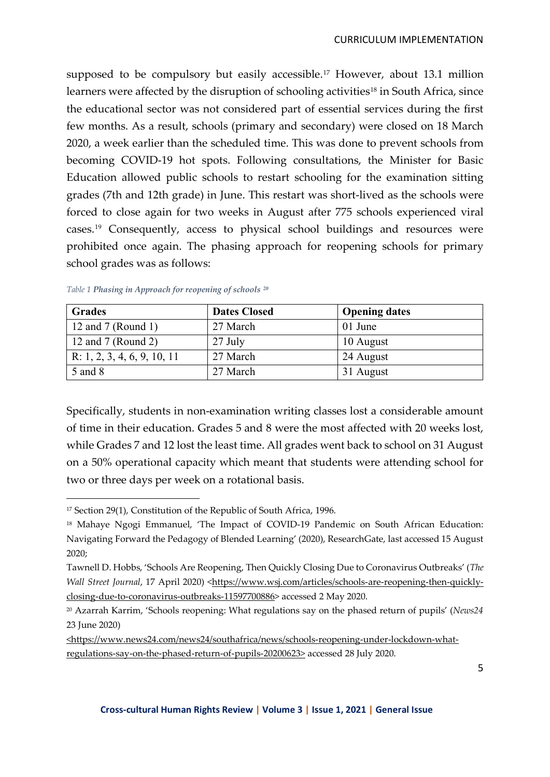supposed to be compulsory but easily accessible.<sup>[17](#page-4-0)</sup> However, about 13.1 million learners were affected by the disruption of schooling activities<sup>[18](#page-4-1)</sup> in South Africa, since the educational sector was not considered part of essential services during the first few months. As a result, schools (primary and secondary) were closed on 18 March 2020, a week earlier than the scheduled time. This was done to prevent schools from becoming COVID-19 hot spots. Following consultations, the Minister for Basic Education allowed public schools to restart schooling for the examination sitting grades (7th and 12th grade) in June. This restart was short-lived as the schools were forced to close again for two weeks in August after 775 schools experienced viral cases.[19](#page-4-2) Consequently, access to physical school buildings and resources were prohibited once again. The phasing approach for reopening schools for primary school grades was as follows:

| <b>Grades</b>               | <b>Dates Closed</b> | <b>Opening dates</b> |
|-----------------------------|---------------------|----------------------|
| 12 and 7 (Round 1)          | 27 March            | 01 June              |
| 12 and 7 (Round 2)          | $27$ July           | 10 August            |
| R: 1, 2, 3, 4, 6, 9, 10, 11 | 27 March            | 24 August            |
| 5 and 8                     | 27 March            | 31 August            |

*Table 1 Phasing in Approach for reopening of schools [20](#page-4-3)*

Specifically, students in non-examination writing classes lost a considerable amount of time in their education. Grades 5 and 8 were the most affected with 20 weeks lost, while Grades 7 and 12 lost the least time. All grades went back to school on 31 August on a 50% operational capacity which meant that students were attending school for two or three days per week on a rotational basis.

<span id="page-4-0"></span><sup>&</sup>lt;sup>17</sup> Section 29(1), Constitution of the Republic of South Africa, 1996.

<span id="page-4-1"></span><sup>&</sup>lt;sup>18</sup> Mahaye Ngogi Emmanuel, 'The Impact of COVID-19 Pandemic on South African Education: Navigating Forward the Pedagogy of Blended Learning' (2020), ResearchGate, last accessed 15 August 2020;

<span id="page-4-2"></span>Tawnell D. Hobbs, 'Schools Are Reopening, Then Quickly Closing Due to Coronavirus Outbreaks' (*The Wall Street Journal, 17 April 2020)* [<https://www.wsj.com/articles/schools-are-reopening-then-quickly](https://www.wsj.com/articles/schools-are-reopening-then-quickly-closing-due-to-coronavirus-outbreaks-11597700886)[closing-due-to-coronavirus-outbreaks-11597700886>](https://www.wsj.com/articles/schools-are-reopening-then-quickly-closing-due-to-coronavirus-outbreaks-11597700886) accessed 2 May 2020.

<span id="page-4-3"></span><sup>20</sup> Azarrah Karrim, 'Schools reopening: What regulations say on the phased return of pupils' (*News24* 23 June 2020)

[<sup>&</sup>lt;https://www.news24.com/news24/southafrica/news/schools-reopening-under-lockdown-what](https://www.news24.com/news24/southafrica/news/schools-reopening-under-lockdown-what-regulations-say-on-the-phased-return-of-pupils-20200623)[regulations-say-on-the-phased-return-of-pupils-20200623>](https://www.news24.com/news24/southafrica/news/schools-reopening-under-lockdown-what-regulations-say-on-the-phased-return-of-pupils-20200623) accessed 28 July 2020.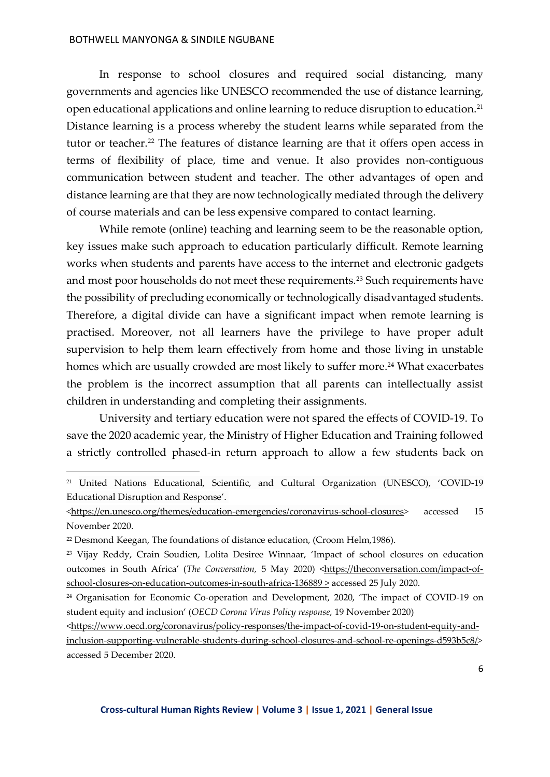In response to school closures and required social distancing, many governments and agencies like UNESCO recommended the use of distance learning, open educational applications and online learning to reduce disruption to education.[21](#page-5-0) Distance learning is a process whereby the student learns while separated from the tutor or teacher.<sup>[22](#page-5-1)</sup> The features of distance learning are that it offers open access in terms of flexibility of place, time and venue. It also provides non-contiguous communication between student and teacher. The other advantages of open and distance learning are that they are now technologically mediated through the delivery of course materials and can be less expensive compared to contact learning.

While remote (online) teaching and learning seem to be the reasonable option, key issues make such approach to education particularly difficult. Remote learning works when students and parents have access to the internet and electronic gadgets and most poor households do not meet these requirements.[23](#page-5-2) Such requirements have the possibility of precluding economically or technologically disadvantaged students. Therefore, a digital divide can have a significant impact when remote learning is practised. Moreover, not all learners have the privilege to have proper adult supervision to help them learn effectively from home and those living in unstable homes which are usually crowded are most likely to suffer more.<sup>[24](#page-5-3)</sup> What exacerbates the problem is the incorrect assumption that all parents can intellectually assist children in understanding and completing their assignments.

University and tertiary education were not spared the effects of COVID-19. To save the 2020 academic year, the Ministry of Higher Education and Training followed a strictly controlled phased-in return approach to allow a few students back on

<span id="page-5-0"></span><sup>21</sup> United Nations Educational, Scientific, and Cultural Organization (UNESCO), 'COVID-19 Educational Disruption and Response'.

[<sup>&</sup>lt;https://en.unesco.org/themes/education-emergencies/coronavirus-school-closures>](https://en.unesco.org/themes/education-emergencies/coronavirus-school-closures) accessed 15 November 2020.

<span id="page-5-1"></span><sup>&</sup>lt;sup>22</sup> Desmond Keegan, The foundations of distance education, (Croom Helm, 1986).

<span id="page-5-2"></span><sup>&</sup>lt;sup>23</sup> Vijay Reddy, Crain Soudien, Lolita Desiree Winnaar, 'Impact of school closures on education outcomes in South Africa' (*The Conversation*, 5 May 2020) [<https://theconversation.com/impact-of](https://theconversation.com/impact-of-school-closures-on-education-outcomes-in-south-africa-136889)[school-closures-on-education-outcomes-in-south-africa-136889 >](https://theconversation.com/impact-of-school-closures-on-education-outcomes-in-south-africa-136889) accessed 25 July 2020.

<span id="page-5-3"></span><sup>24</sup> Organisation for Economic Co-operation and Development, 2020, 'The impact of COVID-19 on student equity and inclusion' (*OECD Corona Virus Policy response*, 19 November 2020)

<sup>&</sup>lt;https://www.oecd.org/coronavirus/policy-responses/the-impact-of-covid-19-on-student-equity-andinclusion-supporting-vulnerable-students-during-school-closures-and-school-re-openings-d593b5c8/> accessed 5 December 2020.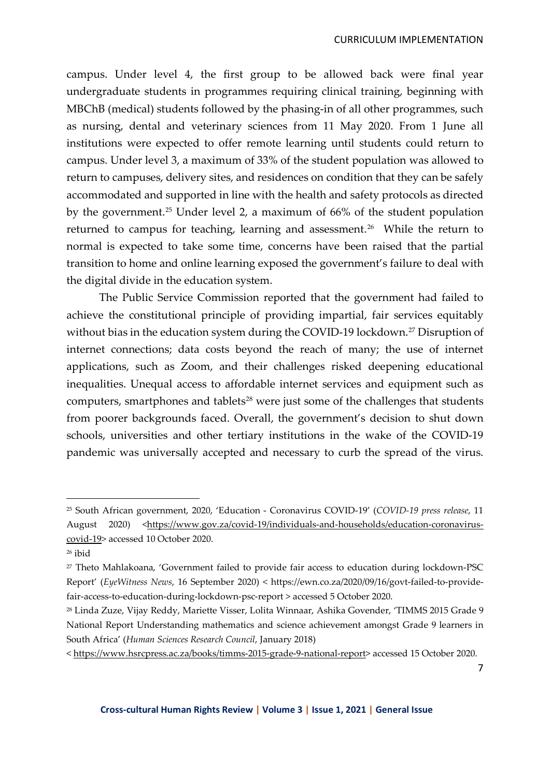campus. Under level 4, the first group to be allowed back were final year undergraduate students in programmes requiring clinical training, beginning with MBChB (medical) students followed by the phasing-in of all other programmes, such as nursing, dental and veterinary sciences from 11 May 2020. From 1 June all institutions were expected to offer remote learning until students could return to campus. Under level 3, a maximum of 33% of the student population was allowed to return to campuses, delivery sites, and residences on condition that they can be safely accommodated and supported in line with the health and safety protocols as directed by the government.[25](#page-6-0) Under level 2, a maximum of 66% of the student population returned to campus for teaching, learning and assessment.<sup>[26](#page-6-1)</sup> While the return to normal is expected to take some time, concerns have been raised that the partial transition to home and online learning exposed the government's failure to deal with the digital divide in the education system.

The Public Service Commission reported that the government had failed to achieve the constitutional principle of providing impartial, fair services equitably without bias in the education system during the COVID-19 lockdown.<sup>[27](#page-6-2)</sup> Disruption of internet connections; data costs beyond the reach of many; the use of internet applications, such as Zoom, and their challenges risked deepening educational inequalities. Unequal access to affordable internet services and equipment such as computers, smartphones and tablets<sup>28</sup> were just some of the challenges that students from poorer backgrounds faced. Overall, the government's decision to shut down schools, universities and other tertiary institutions in the wake of the COVID-19 pandemic was universally accepted and necessary to curb the spread of the virus.

<span id="page-6-0"></span><sup>25</sup> South African government, 2020, 'Education - Coronavirus COVID-19' (*COVID-19 press release*, 11 August 2020) <https://www.gov.za/covid-19/individuals-and-households/education-coronaviruscovid-19> accessed 10 October 2020.

<span id="page-6-1"></span><sup>26</sup> ibid

<span id="page-6-2"></span><sup>27</sup> Theto Mahlakoana, 'Government failed to provide fair access to education during lockdown-PSC Report' (*EyeWitness News*, 16 September 2020) < https://ewn.co.za/2020/09/16/govt-failed-to-providefair-access-to-education-during-lockdown-psc-report > accessed 5 October 2020.

<span id="page-6-3"></span><sup>28</sup> Linda Zuze, Vijay Reddy, Mariette Visser, Lolita Winnaar, Ashika Govender, 'TIMMS 2015 Grade 9 National Report Understanding mathematics and science achievement amongst Grade 9 learners in South Africa' (*Human Sciences Research Council*, January 2018)

<sup>&</sup>lt; https://www.hsrcpress.ac.za/books/timms-2015-grade-9-national-report> accessed 15 October 2020.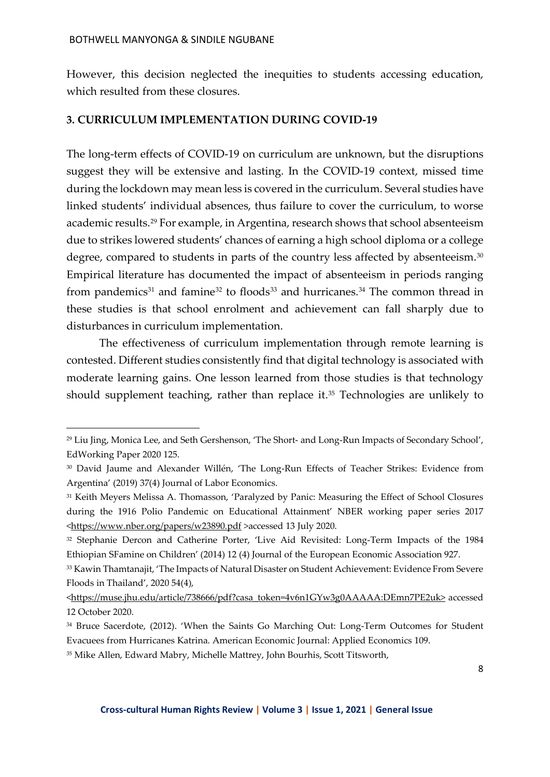However, this decision neglected the inequities to students accessing education, which resulted from these closures.

# **3. CURRICULUM IMPLEMENTATION DURING COVID-19**

The long-term effects of COVID-19 on curriculum are unknown, but the disruptions suggest they will be extensive and lasting. In the COVID-19 context, missed time during the lockdown may mean less is covered in the curriculum. Several studies have linked students' individual absences, thus failure to cover the curriculum, to worse academic results.[29](#page-7-0) For example, in Argentina, research shows that school absenteeism due to strikes lowered students' chances of earning a high school diploma or a college degree, compared to students in parts of the country less affected by absenteeism.<sup>[30](#page-7-1)</sup> Empirical literature has documented the impact of absenteeism in periods ranging from pandemics<sup>31</sup> and famine<sup>[32](#page-7-3)</sup> to floods<sup>[33](#page-7-4)</sup> and hurricanes.<sup>[34](#page-7-5)</sup> The common thread in these studies is that school enrolment and achievement can fall sharply due to disturbances in curriculum implementation.

The effectiveness of curriculum implementation through remote learning is contested. Different studies consistently find that digital technology is associated with moderate learning gains. One lesson learned from those studies is that technology should supplement teaching, rather than replace it[.35](#page-7-6) Technologies are unlikely to

<span id="page-7-0"></span><sup>29</sup> Liu Jing, Monica Lee, and Seth Gershenson, 'The Short- and Long-Run Impacts of Secondary School', EdWorking Paper 2020 125.

<span id="page-7-1"></span><sup>30</sup> David Jaume and Alexander Willén, 'The Long-Run Effects of Teacher Strikes: Evidence from Argentina' (2019) 37(4) Journal of Labor Economics.

<span id="page-7-2"></span><sup>31</sup> Keith Meyers Melissa A. Thomasson, 'Paralyzed by Panic: Measuring the Effect of School Closures during the 1916 Polio Pandemic on Educational Attainment' NBER working paper series 2017 [<https://www.nber.org/papers/w23890.pdf](https://www.nber.org/papers/w23890.pdf) >accessed 13 July 2020.

<span id="page-7-3"></span><sup>32</sup> Stephanie Dercon and Catherine Porter, 'Live Aid Revisited: Long-Term Impacts of the 1984 Ethiopian SFamine on Children' (2014) 12 (4) Journal of the European Economic Association 927.

<span id="page-7-4"></span><sup>33</sup> Kawin Thamtanajit, 'The Impacts of Natural Disaster on Student Achievement: Evidence From Severe Floods in Thailand', 2020 54(4),

[<sup>&</sup>lt;https://muse.jhu.edu/article/738666/pdf?casa\\_token=4v6n1GYw3g0AAAAA:DEmn7PE2uk>](https://muse.jhu.edu/article/738666/pdf?casa_token=4v6n1GYw3g0AAAAA:DEmn7PE2uk) accessed 12 October 2020.

<span id="page-7-5"></span><sup>34</sup> Bruce Sacerdote, (2012). 'When the Saints Go Marching Out: Long-Term Outcomes for Student Evacuees from Hurricanes Katrina. American Economic Journal: Applied Economics 109.

<span id="page-7-6"></span><sup>35</sup> Mike Allen, Edward Mabry, Michelle Mattrey, John Bourhis, Scott Titsworth,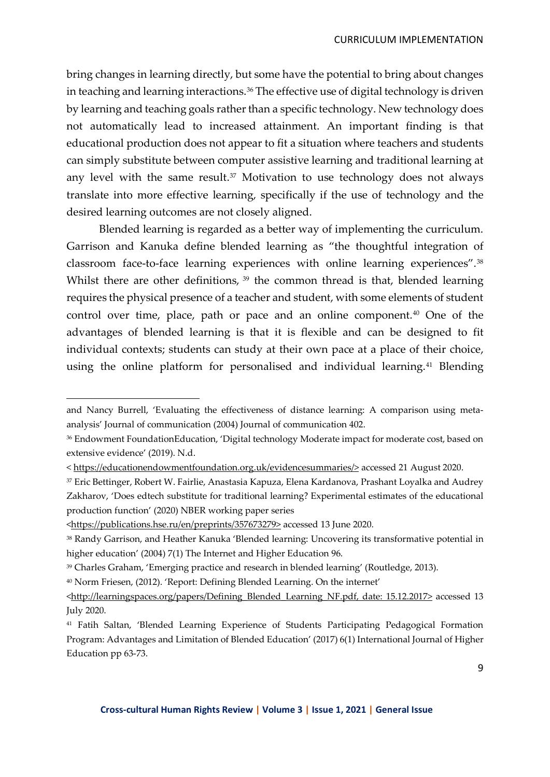bring changes in learning directly, but some have the potential to bring about changes in teaching and learning interactions.<sup>[36](#page-8-0)</sup> The effective use of digital technology is driven by learning and teaching goals rather than a specific technology. New technology does not automatically lead to increased attainment. An important finding is that educational production does not appear to fit a situation where teachers and students can simply substitute between computer assistive learning and traditional learning at any level with the same result. $37$  Motivation to use technology does not always translate into more effective learning, specifically if the use of technology and the desired learning outcomes are not closely aligned.

Blended learning is regarded as a better way of implementing the curriculum. Garrison and Kanuka define blended learning as "the thoughtful integration of classroom face-to-face learning experiences with online learning experiences".[38](#page-8-2) Whilst there are other definitions, <sup>[39](#page-8-3)</sup> the common thread is that, blended learning requires the physical presence of a teacher and student, with some elements of student control over time, place, path or pace and an online component.<sup>[40](#page-8-4)</sup> One of the advantages of blended learning is that it is flexible and can be designed to fit individual contexts; students can study at their own pace at a place of their choice, using the online platform for personalised and individual learning.<sup>[41](#page-8-5)</sup> Blending

and Nancy Burrell, 'Evaluating the effectiveness of distance learning: A comparison using metaanalysis' Journal of communication (2004) Journal of communication 402.

<span id="page-8-0"></span><sup>&</sup>lt;sup>36</sup> Endowment FoundationEducation, 'Digital technology Moderate impact for moderate cost, based on extensive evidence' (2019). N.d.

<sup>&</sup>lt; [https://educationendowmentfoundation.org.uk/evidencesummaries/>](https://educationendowmentfoundation.org.uk/evidencesummaries/) accessed 21 August 2020.

<span id="page-8-1"></span><sup>37</sup> Eric Bettinger, Robert W. Fairlie, Anastasia Kapuza, Elena Kardanova, Prashant Loyalka and Audrey Zakharov, 'Does edtech substitute for traditional learning? Experimental estimates of the educational production function' (2020) NBER working paper series

[<sup>&</sup>lt;https://publications.hse.ru/en/preprints/357673279>](https://publications.hse.ru/en/preprints/357673279) accessed 13 June 2020.

<span id="page-8-2"></span><sup>&</sup>lt;sup>38</sup> Randy Garrison, and Heather Kanuka 'Blended learning: Uncovering its transformative potential in higher education' (2004) 7(1) The Internet and Higher Education 96.

<span id="page-8-3"></span><sup>39</sup> Charles Graham, 'Emerging practice and research in blended learning' (Routledge, 2013).

<span id="page-8-4"></span><sup>40</sup> Norm Friesen, (2012). 'Report: Defining Blended Learning. On the internet'

<sup>&</sup>lt;http://learningspaces.org/papers/Defining\_Blended\_Learning\_NF.pdf, date: 15.12.2017> accessed 13 July 2020.

<span id="page-8-5"></span><sup>41</sup> Fatih Saltan, 'Blended Learning Experience of Students Participating Pedagogical Formation Program: Advantages and Limitation of Blended Education' (2017) 6(1) International Journal of Higher Education pp 63-73.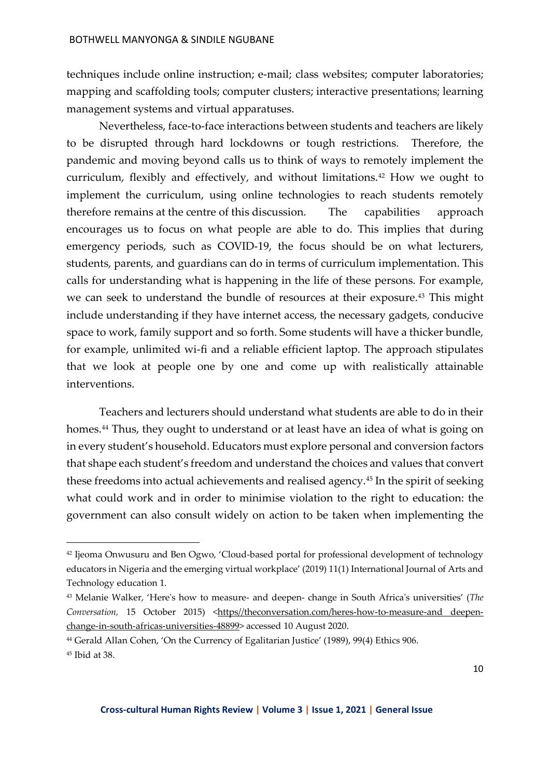techniques include online instruction; e-mail; class websites; computer laboratories; mapping and scaffolding tools; computer clusters; interactive presentations; learning management systems and virtual apparatuses.

Nevertheless, face-to-face interactions between students and teachers are likely to be disrupted through hard lockdowns or tough restrictions. Therefore, the pandemic and moving beyond calls us to think of ways to remotely implement the curriculum, flexibly and effectively, and without limitations.<sup>[42](#page-9-0)</sup> How we ought to implement the curriculum, using online technologies to reach students remotely therefore remains at the centre of this discussion. The capabilities approach encourages us to focus on what people are able to do. This implies that during emergency periods, such as COVID-19, the focus should be on what lecturers, students, parents, and guardians can do in terms of curriculum implementation. This calls for understanding what is happening in the life of these persons. For example, we can seek to understand the bundle of resources at their exposure.<sup>[43](#page-9-1)</sup> This might include understanding if they have internet access, the necessary gadgets, conducive space to work, family support and so forth. Some students will have a thicker bundle, for example, unlimited wi-fi and a reliable efficient laptop. The approach stipulates that we look at people one by one and come up with realistically attainable interventions.

Teachers and lecturers should understand what students are able to do in their homes.<sup>[44](#page-9-2)</sup> Thus, they ought to understand or at least have an idea of what is going on in every student's household. Educators must explore personal and conversion factors that shape each student's freedom and understand the choices and values that convert these freedoms into actual achievements and realised agency.[45](#page-9-3) In the spirit of seeking what could work and in order to minimise violation to the right to education: the government can also consult widely on action to be taken when implementing the

<span id="page-9-0"></span><sup>42</sup> Ijeoma Onwusuru and Ben Ogwo, 'Cloud-based portal for professional development of technology educators in Nigeria and the emerging virtual workplace' (2019) 11(1) International Journal of Arts and Technology education 1.

<span id="page-9-1"></span><sup>43</sup> Melanie Walker, 'Here's how to measure- and deepen- change in South Africa's universities' (*The*  Conversation, 15 October 2015) <https//theconversation.com/heres-how-to-measure-and deepenchange-in-south-africas-universities-48899> accessed 10 August 2020.

<span id="page-9-2"></span><sup>44</sup> Gerald Allan Cohen, 'On the Currency of Egalitarian Justice' (1989), 99(4) Ethics 906.

<span id="page-9-3"></span><sup>45</sup> Ibid at 38.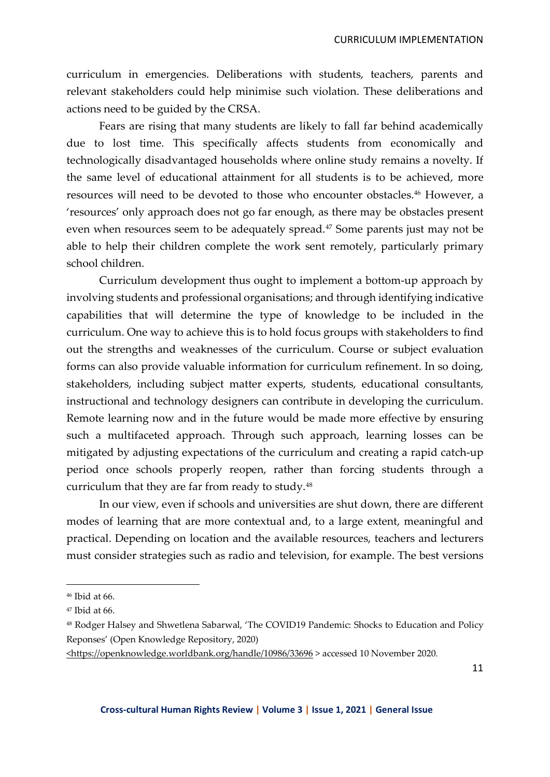curriculum in emergencies. Deliberations with students, teachers, parents and relevant stakeholders could help minimise such violation. These deliberations and actions need to be guided by the CRSA.

Fears are rising that many students are likely to fall far behind academically due to lost time. This specifically affects students from economically and technologically disadvantaged households where online study remains a novelty. If the same level of educational attainment for all students is to be achieved, more resources will need to be devoted to those who encounter obstacles[.46](#page-10-0) However, a 'resources' only approach does not go far enough, as there may be obstacles present even when resources seem to be adequately spread.<sup>[47](#page-10-1)</sup> Some parents just may not be able to help their children complete the work sent remotely, particularly primary school children.

Curriculum development thus ought to implement a bottom-up approach by involving students and professional organisations; and through identifying indicative capabilities that will determine the type of knowledge to be included in the curriculum. One way to achieve this is to hold focus groups with stakeholders to find out the strengths and weaknesses of the curriculum. Course or subject evaluation forms can also provide valuable information for curriculum refinement. In so doing, stakeholders, including subject matter experts, students, educational consultants, instructional and technology designers can contribute in developing the curriculum. Remote learning now and in the future would be made more effective by ensuring such a multifaceted approach. Through such approach, learning losses can be mitigated by adjusting expectations of the curriculum and creating a rapid catch-up period once schools properly reopen, rather than forcing students through a curriculum that they are far from ready to study.[48](#page-10-2)

In our view, even if schools and universities are shut down, there are different modes of learning that are more contextual and, to a large extent, meaningful and practical. Depending on location and the available resources, teachers and lecturers must consider strategies such as radio and television, for example. The best versions

<span id="page-10-0"></span><sup>46</sup> Ibid at 66.

<span id="page-10-1"></span><sup>47</sup> Ibid at 66.

<span id="page-10-2"></span><sup>48</sup> Rodger Halsey and Shwetlena Sabarwal, 'The COVID19 Pandemic: Shocks to Education and Policy Reponses' (Open Knowledge Repository, 2020)

[<sup>&</sup>lt;https://openknowledge.worldbank.org/handle/10986/33696](https://openknowledge.worldbank.org/handle/10986/33696) > accessed 10 November 2020.